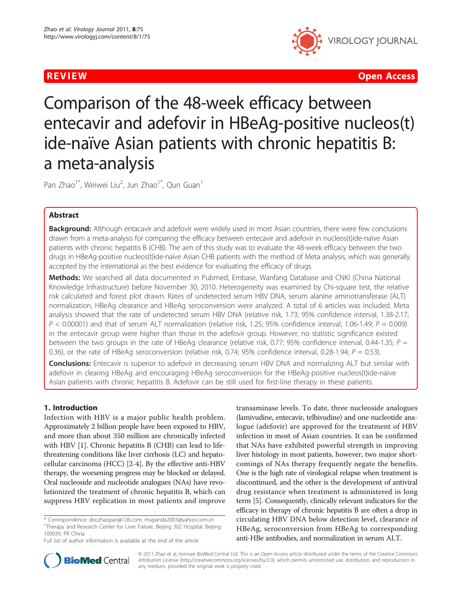

**REVIEW CONTROL** CONTROL CONTROL CONTROL CONTROL CONTROL CONTROL CONTROL CONTROL CONTROL CONTROL CONTROL CONTROL CONTROL CONTROL CONTROL CONTROL CONTROL CONTROL CONTROL CONTROL CONTROL CONTROL CONTROL CONTROL CONTROL CONTR

Comparison of the 48-week efficacy between entecavir and adefovir in HBeAg-positive nucleos(t) ide-naïve Asian patients with chronic hepatitis B: a meta-analysis

Pan Zhao<sup>1\*</sup>, Weiwei Liu<sup>2</sup>, Jun Zhao<sup>1\*</sup>, Qun Guan<sup>1</sup>

# Abstract

**Background:** Although entacavir and adefovir were widely used in most Asian countries, there were few conclusions drawn from a meta-analysis for comparing the efficacy between entecavir and adefovir in nucleos(t)ide-naïve Asian patients with chronic hepatitis B (CHB). The aim of this study was to evaluate the 48-week efficacy between the two drugs in HBeAg-positive nucleos(t)ide-naïve Asian CHB patients with the method of Meta analysis, which was generally accepted by the international as the best evidence for evaluating the efficacy of drugs.

Methods: We searched all data documented in Pubmed, Embase, Wanfang Database and CNKI (China National Knowledge Infrastructure) before November 30, 2010. Heterogeneity was examined by Chi-square test, the relative risk calculated and forest plot drawn. Rates of undetected serum HBV DNA, serum alanine aminotransferase (ALT) normalization, HBeAg clearance and HBeAg seroconversion were analyzed. A total of 6 articles was included. Meta analysis showed that the rate of undetected serum HBV DNA (relative risk, 1.73; 95% confidence interval, 1.38-2.17;  $P < 0.00001$ ) and that of serum ALT normalization (relative risk, 1.25; 95% confidence interval, 1.06-1.49;  $P = 0.009$ ) in the entecavir group were higher than those in the adefovir group. However, no statistic significance existed between the two groups in the rate of HBeAg clearance (relative risk, 0.77; 95% confidence interval, 0.44-1.35;  $P =$ 0.36), or the rate of HBeAg seroconversion (relative risk, 0.74; 95% confidence interval, 0.28-1.94;  $P = 0.53$ ).

**Conclusions:** Entecavir is superior to adefovir in decreasing serum HBV DNA and normalizing ALT but similar with adefovir in clearing HBeAg and encouraging HBeAg seroconversion for the HBeAg-positive nucleos(t)ide-naive Asian patients with chronic hepatitis B. Adefovir can be still used for first-line therapy in these patients.

# 1. Introduction

Infection with HBV is a major public health problem. Approximately 2 billion people have been exposed to HBV, and more than about 350 million are chronically infected with HBV [\[1](#page-4-0)]. Chronic hepatitis B (CHB) can lead to lifethreatening conditions like liver cirrhosis (LC) and hepatocellular carcinoma (HCC) [\[2](#page-4-0)-[4](#page-4-0)]. By the effective anti-HBV therapy, the worsening progress may be blocked or delayed. Oral nucleoside and nucleotide analogues (NAs) have revolutionized the treatment of chronic hepatitis B, which can suppress HBV replication in most patients and improve

transaminase levels. To date, three nucleoside analogues (lamivudine, entecavir, telbivudine) and one nucleotide analogue (adefovir) are approved for the treatment of HBV infection in most of Asian countries. It can be confirmed that NAs have exhibited powerful strength in improving liver histology in most patients, however, two major shortcomings of NAs therapy frequently negate the benefits. One is the high rate of virological relapse when treatment is discontinued, and the other is the development of antiviral drug resistance when treatment is administered in long term [\[5\]](#page-4-0). Consequently, clinically relevant indicators for the efficacy in therapy of chronic hepatitis B are often a drop in circulating HBV DNA below detection level, clearance of HBeAg, seroconversion from HBeAg to corresponding anti-HBe antibodies, and normalization in serum ALT.



© 2011 Zhao et al; licensee BioMed Central Ltd. This is an Open Access article distributed under the terms of the Creative Commons Attribution License [\(http://creativecommons.org/licenses/by/2.0](http://creativecommons.org/licenses/by/2.0)), which permits unrestricted use, distribution, and reproduction in any medium, provided the original work is properly cited.

<sup>\*</sup> Correspondence: [doczhaopan@126.com;](mailto:doczhaopan@126.com) [mupanda2003@yahoo.com.cn](mailto:mupanda2003@yahoo.com.cn) <sup>1</sup>Therapy and Research Center for Liver Failure, Beijing 302 Hospital, Beijing 100039, PR China

Full list of author information is available at the end of the article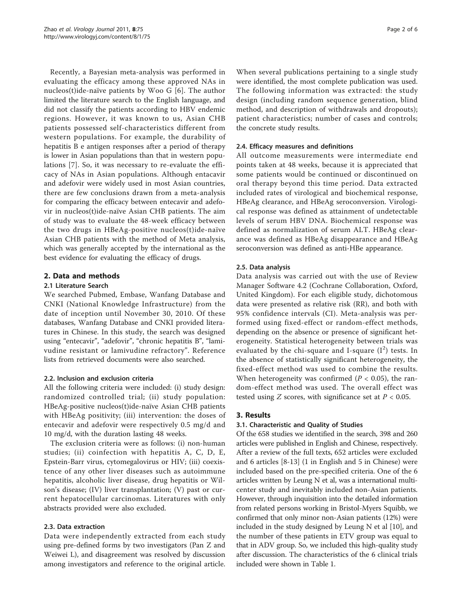Recently, a Bayesian meta-analysis was performed in evaluating the efficacy among these approved NAs in nucleos(t)ide-naïve patients by Woo G [[6\]](#page-4-0). The author limited the literature search to the English language, and did not classify the patients according to HBV endemic regions. However, it was known to us, Asian CHB patients possessed self-characteristics different from western populations. For example, the durability of hepatitis B e antigen responses after a period of therapy is lower in Asian populations than that in western populations [[7\]](#page-4-0). So, it was necessary to re-evaluate the efficacy of NAs in Asian populations. Although entacavir and adefovir were widely used in most Asian countries, there are few conclusions drawn from a meta-analysis for comparing the efficacy between entecavir and adefovir in nucleos(t)ide-naïve Asian CHB patients. The aim of study was to evaluate the 48-week efficacy between the two drugs in HBeAg-positive nucleos(t)ide-naïve Asian CHB patients with the method of Meta analysis, which was generally accepted by the international as the best evidence for evaluating the efficacy of drugs.

# 2. Data and methods

#### 2.1 Literature Search

We searched Pubmed, Embase, Wanfang Database and CNKI (National Knowledge Infrastructure) from the date of inception until November 30, 2010. Of these databases, Wanfang Database and CNKI provided literatures in Chinese. In this study, the search was designed using "entecavir", "adefovir", "chronic hepatitis B", "lamivudine resistant or lamivudine refractory". Reference lists from retrieved documents were also searched.

#### 2.2. Inclusion and exclusion criteria

All the following criteria were included: (i) study design: randomized controlled trial; (ii) study population: HBeAg-positive nucleos(t)ide-naïve Asian CHB patients with HBeAg positivity; (iii) intervention: the doses of entecavir and adefovir were respectively 0.5 mg/d and 10 mg/d, with the duration lasting 48 weeks.

The exclusion criteria were as follows: (i) non-human studies; (ii) coinfection with hepatitis A, C, D, E, Epstein-Barr virus, cytomegalovirus or HIV; (iii) coexistence of any other liver diseases such as autoimmune hepatitis, alcoholic liver disease, drug hepatitis or Wilson's disease; (IV) liver transplantation; (V) past or current hepatocellular carcinomas. Literatures with only abstracts provided were also excluded.

# 2.3. Data extraction

Data were independently extracted from each study using pre-defined forms by two investigators (Pan Z and Weiwei L), and disagreement was resolved by discussion among investigators and reference to the original article.

When several publications pertaining to a single study were identified, the most complete publication was used. The following information was extracted: the study design (including random sequence generation, blind method, and description of withdrawals and dropouts); patient characteristics; number of cases and controls; the concrete study results.

## 2.4. Efficacy measures and definitions

All outcome measurements were intermediate end points taken at 48 weeks, because it is appreciated that some patients would be continued or discontinued on oral therapy beyond this time period. Data extracted included rates of virological and biochemical response, HBeAg clearance, and HBeAg seroconversion. Virological response was defined as attainment of undetectable levels of serum HBV DNA. Biochemical response was defined as normalization of serum ALT. HBeAg clearance was defined as HBeAg disappearance and HBeAg seroconversion was defined as anti-HBe appearance.

## 2.5. Data analysis

Data analysis was carried out with the use of Review Manager Software 4.2 (Cochrane Collaboration, Oxford, United Kingdom). For each eligible study, dichotomous data were presented as relative risk (RR), and both with 95% confidence intervals (CI). Meta-analysis was performed using fixed-effect or random-effect methods, depending on the absence or presence of significant heterogeneity. Statistical heterogeneity between trials was evaluated by the chi-square and I-square  $(I^2)$  tests. In the absence of statistically significant heterogeneity, the fixed-effect method was used to combine the results. When heterogeneity was confirmed ( $P < 0.05$ ), the random-effect method was used. The overall effect was tested using *Z* scores, with significance set at  $P < 0.05$ .

# 3. Results

# 3.1. Characteristic and Quality of Studies

Of the 658 studies we identified in the search, 398 and 260 articles were published in English and Chinese, respectively. After a review of the full texts, 652 articles were excluded and 6 articles [\[8](#page-4-0)-[13\]](#page-4-0) (1 in English and 5 in Chinese) were included based on the pre-specified criteria. One of the 6 articles written by Leung N et al, was a international multicenter study and inevitably included non-Asian patients. However, through inquisition into the detailed information from related persons working in Bristol-Myers Squibb, we confirmed that only minor non-Asian patients (12%) were included in the study designed by Leung N et al [[10\]](#page-4-0), and the number of these patients in ETV group was equal to that in ADV group. So, we included this high-quality study after discussion. The characteristics of the 6 clinical trials included were shown in Table [1.](#page-2-0)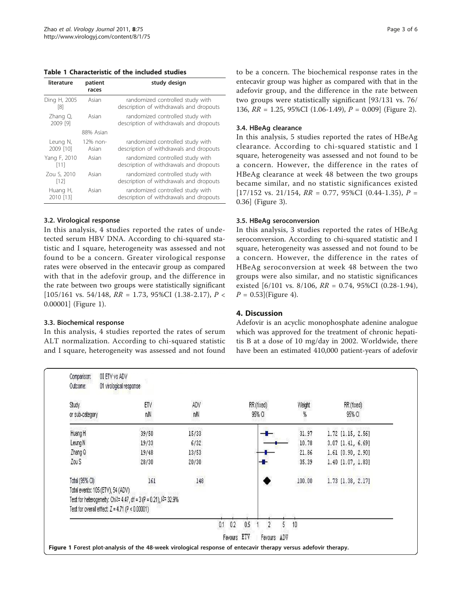<span id="page-2-0"></span>Table 1 Characteristic of the included studies

| literature            | patient<br>races  | study design                                                                |
|-----------------------|-------------------|-----------------------------------------------------------------------------|
| Ding H, 2005<br>[8]   | Asian             | randomized controlled study with<br>description of withdrawals and dropouts |
| Zhang Q,<br>2009 [9]  | Asian             | randomized controlled study with<br>description of withdrawals and dropouts |
|                       | 88% Asian         |                                                                             |
| Leung N,<br>2009 [10] | 12% non-<br>Asian | randomized controlled study with<br>description of withdrawals and dropouts |
| Yang F, 2010<br>[11]  | Asian             | randomized controlled study with<br>description of withdrawals and dropouts |
| Zou S, 2010<br>[12]   | Asian             | randomized controlled study with<br>description of withdrawals and dropouts |
| Huang H,<br>2010 [13] | Asian             | randomized controlled study with<br>description of withdrawals and dropouts |

## 3.2. Virological response

In this analysis, 4 studies reported the rates of undetected serum HBV DNA. According to chi-squared statistic and I square, heterogeneity was assessed and not found to be a concern. Greater virological response rates were observed in the entecavir group as compared with that in the adefovir group, and the difference in the rate between two groups were statistically significant [ $105/161$  vs. 54/148,  $RR = 1.73$ , 95%CI (1.38-2.17),  $P <$ 0.00001] (Figure 1).

#### 3.3. Biochemical response

In this analysis, 4 studies reported the rates of serum ALT normalization. According to chi-squared statistic and I square, heterogeneity was assessed and not found to be a concern. The biochemical response rates in the entecavir group was higher as compared with that in the adefovir group, and the difference in the rate between two groups were statistically significant [93/131 vs. 76/ 136, RR = 1.25, 95%CI (1.06-1.49), P = 0.009] (Figure [2\)](#page-3-0).

## 3.4. HBeAg clearance

In this analysis, 5 studies reported the rates of HBeAg clearance. According to chi-squared statistic and I square, heterogeneity was assessed and not found to be a concern. However, the difference in the rates of HBeAg clearance at week 48 between the two groups became similar, and no statistic significances existed  $[17/152 \text{ vs. } 21/154, RR = 0.77, 95\% \text{ CI } (0.44-1.35), P =$ 0.36] (Figure [3\)](#page-3-0).

## 3.5. HBeAg seroconversion

In this analysis, 3 studies reported the rates of HBeAg seroconversion. According to chi-squared statistic and I square, heterogeneity was assessed and not found to be a concern. However, the difference in the rates of HBeAg seroconversion at week 48 between the two groups were also similar, and no statistic significances existed  $[6/101 \text{ vs. } 8/106, RR = 0.74, 95\% \text{ CI } (0.28-1.94),$  $P = 0.53$  (Figure [4](#page-4-0)).

# 4. Discussion

Adefovir is an acyclic monophosphate adenine analogue which was approved for the treatment of chronic hepatitis B at a dose of 10 mg/day in 2002. Worldwide, there have been an estimated 410,000 patient-years of adefovir

| Study                                             | ETV                                                              | ADV   | RR (fixed) | Weight | RR (fixed)        |
|---------------------------------------------------|------------------------------------------------------------------|-------|------------|--------|-------------------|
| or sub-category                                   | nN                                                               | nN    | 95% CI     | %      | 95% CI            |
| Huang H                                           | 39/50                                                            | 15/33 |            | 31.97  | 1.72 [1.15, 2.56] |
| Leung N                                           | 19/33                                                            | 6/32  |            | 10.78  | 3.07 [1.41, 6.69] |
| Zhang Q                                           | 19/48                                                            | 13/53 |            | 21.86  | 1.61 [0.90, 2.90] |
| Zou S                                             | 28/30                                                            | 20/30 |            | 35.39  | 1.40 [1.07, 1.83] |
| Total (95% CI)                                    | 161                                                              | 148   |            | 100.00 | 1.73 [1.38, 2.17] |
| Total events: 105 (ETV), 54 (ADV)                 |                                                                  |       |            |        |                   |
|                                                   | Test for heterogeneity: Chi2= 4.47, df = 3 (P = 0.21), l2= 32.9% |       |            |        |                   |
| Test for overall effect: $Z = 4.71$ (P < 0.00001) |                                                                  |       |            |        |                   |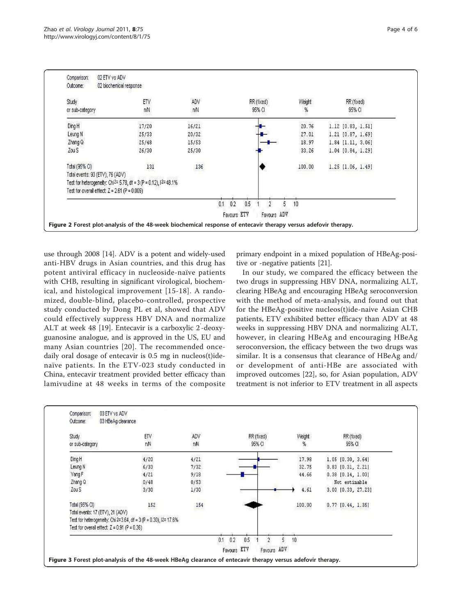<span id="page-3-0"></span>

| ADV<br>nN                                                                                | RR (fixed)<br>95% CI | Weight<br>% | RR (fixed)<br>95% CI  |
|------------------------------------------------------------------------------------------|----------------------|-------------|-----------------------|
|                                                                                          |                      |             |                       |
|                                                                                          |                      |             |                       |
| 16/21                                                                                    |                      | 20.76       | 1.12 [0.83, 1.51]     |
| 20/32                                                                                    |                      | 27.01       | 1.21 [0.87, 1.69]     |
| 15/53                                                                                    |                      | 18.97       | $1.84$ $[1.11, 3.06]$ |
| 25/30                                                                                    |                      | 33.26       | 1.04 [0.84, 1.29]     |
| 136<br>$131$                                                                             |                      | 100.00      | 1.25 [1.06, 1.49]     |
|                                                                                          |                      |             |                       |
| Test for heterogeneity: Chi <sup>2=</sup> 5.78, df = 3 (P = 0.12), 1 <sup>2=</sup> 48.1% |                      |             |                       |
|                                                                                          |                      |             |                       |
|                                                                                          | 0.2<br>0.5           | 10          |                       |
|                                                                                          |                      |             |                       |

use through 2008 [\[14\]](#page-4-0). ADV is a potent and widely-used anti-HBV drugs in Asian countries, and this drug has potent antiviral efficacy in nucleoside-naïve patients with CHB, resulting in significant virological, biochemical, and histological improvement [\[15-18](#page-4-0)]. A randomized, double-blind, placebo-controlled, prospective study conducted by Dong PL et al, showed that ADV could effectively suppress HBV DNA and normalize ALT at week 48 [\[19](#page-5-0)]. Entecavir is a carboxylic 2-deoxyguanosine analogue, and is approved in the US, EU and many Asian countries [[20](#page-5-0)]. The recommended oncedaily oral dosage of entecavir is 0.5 mg in nucleos(t)idenaïve patients. In the ETV-023 study conducted in China, entecavir treatment provided better efficacy than lamivudine at 48 weeks in terms of the composite

primary endpoint in a mixed population of HBeAg-positive or -negative patients [\[21\]](#page-5-0).

In our study, we compared the efficacy between the two drugs in suppressing HBV DNA, normalizing ALT, clearing HBeAg and encouraging HBeAg seroconversion with the method of meta-analysis, and found out that for the HBeAg-positive nucleos(t)ide-naive Asian CHB patients, ETV exhibited better efficacy than ADV at 48 weeks in suppressing HBV DNA and normalizing ALT, however, in clearing HBeAg and encouraging HBeAg seroconversion, the efficacy between the two drugs was similar. It is a consensus that clearance of HBeAg and/ or development of anti-HBe are associated with improved outcomes [\[22](#page-5-0)], so, for Asian population, ADV treatment is not inferior to ETV treatment in all aspects

| Study                                                            | ETV  | ADV     | RR (fixed) | Weight  | RR (fixed)            |
|------------------------------------------------------------------|------|---------|------------|---------|-----------------------|
| or sub-category                                                  | nN   | nN      | 95% CI     | %       | 95% CI                |
| Ding H                                                           | 4/20 | 4/21    |            | 17.98   | 1.05 [0.30, 3.64]     |
| Leung N                                                          | 6/33 | 7/32    |            | 32.75   | $0.83$ $[0.31, 2.21]$ |
| Yang F                                                           | 4/21 | 9/18    |            | 44.66   | $0.38$ $[0.14, 1.03]$ |
| Zhang Q                                                          | 0/48 | 0/53    |            | 2203505 | Not estimable         |
| Zou S                                                            | 3/30 | 1/30    |            | 4.61    | 3.00 [0.33, 27.23]    |
| Total (95% CI)                                                   | 152  | 154     |            | 100.00  | $0.77$ $[0.44, 1.35]$ |
| Total events: 17 (ETV), 21 (ADV)                                 |      | 833.XXI |            |         |                       |
| Test for heterogeneity: Chi 2=3.64, df = 3 (P = 0.30), 12= 17.6% |      |         |            |         |                       |
| Test for overall effect: $Z = 0.91$ (P = 0.36)                   |      |         |            |         |                       |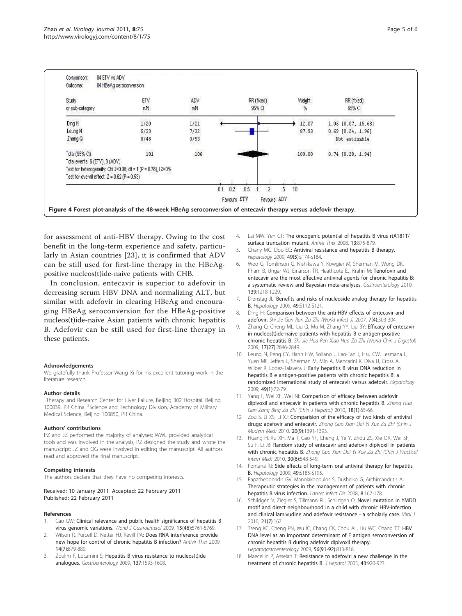<span id="page-4-0"></span>

| Study<br>or sub-category                                        | ETV<br>nN     | ADV<br>nN       | RR (fixed)<br>95% CI | Weight<br>% | RR (fixed)<br>95% CI  |
|-----------------------------------------------------------------|---------------|-----------------|----------------------|-------------|-----------------------|
| Ding H                                                          | 12223<br>1/20 | 25,582<br>1/21  |                      | 12.07       | 1.05 [0.07, 15.68]    |
| Leung N                                                         | 5/33          | 7/32            |                      | 87.93       | $0.69$ $[0.24, 1.96]$ |
| Zhang Q                                                         | 0/48          | 0/53<br>932 W   |                      |             | Not estimable         |
| Total (95% CI)                                                  | $101$         | $\frac{106}{2}$ |                      | 100.00      | $0.74$ $[0.28, 1.94]$ |
| Total events: 6 (ETV), 8 (ADV)                                  |               |                 |                      |             |                       |
| Test for heterogeneity: Chi 2=0.08, df = 1 (P = 0.78), $12=0\%$ |               |                 |                      |             |                       |
| Test for overall effect: $Z = 0.62$ (P = 0.53)                  |               |                 |                      |             |                       |
|                                                                 |               | 0.1             | 0.2<br>0.5           | 10          |                       |

for assessment of anti-HBV therapy. Owing to the cost benefit in the long-term experience and safety, particularly in Asian countries [[23\]](#page-5-0), it is confirmed that ADV can be still used for first-line therapy in the HBeAgpositive nucleos(t)ide-naive patients with CHB.

In conclusion, entecavir is superior to adefovir in decreasing serum HBV DNA and normalizing ALT, but similar with adefovir in clearing HBeAg and encouraging HBeAg seroconversion for the HBeAg-positive nucleos(t)ide-naive Asian patients with chronic hepatitis B. Adefovir can be still used for first-line therapy in these patients.

#### Acknowledgements

We gratefully thank Professor Wang Xi for his excellent tutoring work in the literature research.

#### Author details

<sup>1</sup>Therapy and Research Center for Liver Failure, Beijing 302 Hospital, Beijing 100039, PR China. <sup>2</sup>Science and Technology Division, Academy of Military Medical Science, Beijing 100850, PR China.

#### Authors' contributions

PZ and JZ performed the majority of analyses; WWL provided analytical tools and was involved in the analysis; PZ designed the study and wrote the manuscript; JZ and QG were involved in editing the manuscript. All authors read and approved the final manuscript.

#### Competing interests

The authors declare that they have no competing interests.

#### Received: 10 January 2011 Accepted: 22 February 2011 Published: 22 February 2011

#### References

- Cao GW: [Clinical relevance and public health significance of hepatitis B](http://www.ncbi.nlm.nih.gov/pubmed/19998495?dopt=Abstract) [virus genomic variations.](http://www.ncbi.nlm.nih.gov/pubmed/19998495?dopt=Abstract) World J Gastroenterol 2009, 15(46):5761-5769.
- 2. Wilson R, Purcell D, Netter HJ, Revill PA: [Does RNA interference provide](http://www.ncbi.nlm.nih.gov/pubmed/19918092?dopt=Abstract) [new hope for control of chronic hepatitis B infection?](http://www.ncbi.nlm.nih.gov/pubmed/19918092?dopt=Abstract) Antivir Ther 2009, 14(7):879-889.
- 3. Zoulim F, Locarnini S: [Hepatitis B virus resistance to nucleos\(t\)ide](http://www.ncbi.nlm.nih.gov/pubmed/19737565?dopt=Abstract) [analogues.](http://www.ncbi.nlm.nih.gov/pubmed/19737565?dopt=Abstract) Gastroenterology 2009, 137:1593-1608.
- 4. Lai MW, Yeh CT: [The oncogenic potential of hepatitis B virus rtA181T/](http://www.ncbi.nlm.nih.gov/pubmed/19043921?dopt=Abstract) [surface truncation mutant.](http://www.ncbi.nlm.nih.gov/pubmed/19043921?dopt=Abstract) Antivir Ther 2008, 13:875-879.
- 5. Ghany MG, Doo EC: [Antiviral resistance and hepatitis B therapy.](http://www.ncbi.nlm.nih.gov/pubmed/19399794?dopt=Abstract) Hepatology 2009, 49(5):s174-s184.
- 6. Woo G, Tomlinson G, Nishikawa Y, Kowgier M, Sherman M, Wong DK, Pham B, Ungar WJ, Einarson TR, Heathcote EJ, Krahn M: [Tenofovir and](http://www.ncbi.nlm.nih.gov/pubmed/20600036?dopt=Abstract) [entecavir are the most effective antiviral agents for chronic hepatitis B:](http://www.ncbi.nlm.nih.gov/pubmed/20600036?dopt=Abstract) [a systematic review and Bayesian meta-analyses.](http://www.ncbi.nlm.nih.gov/pubmed/20600036?dopt=Abstract) Gastroenterology 2010, 139:1218-1229.
- 7. Dienstag JL: [Benefits and risks of nucleoside analog therapy for hepatitis](http://www.ncbi.nlm.nih.gov/pubmed/19399795?dopt=Abstract) [B.](http://www.ncbi.nlm.nih.gov/pubmed/19399795?dopt=Abstract) Hepatology 2009, 49:S112-S121.
- 8. Ding H: Comparison between the anti-HBV effects of entecavir and adefovir. Shi Jie Gan Ran Za Zhi (World Infect J) 2007, 7(4):303-304
- Zhang Q, Cheng ML, Liu Q, Mu M, Zhang YY, Liu BY: Efficacy of entecavir in nucleos(t)ide-naive patients with hepatitis B e antigen-positive chronic hepatitis B. Shi Jie Hua Ren Xiao Hua Za Zhi (World Chin J Digestol) 2009, 17(27):2846-2849.
- 10. Leung N, Peng CY, Hann HW, Sollano J, Lao-Tan J, Hsu CW, Lesmana L, Yuen MF, Jeffers L, Sherman M, Min A, Mencarini K, Diva U, Cross A, Wilber R, Lopez-Talavera J: [Early hepatitis B virus DNA reduction in](http://www.ncbi.nlm.nih.gov/pubmed/19065670?dopt=Abstract) [hepatitis B e antigen-positive patients with chronic hepatitis B: a](http://www.ncbi.nlm.nih.gov/pubmed/19065670?dopt=Abstract) [randomized international study of entecavir versus adefovir.](http://www.ncbi.nlm.nih.gov/pubmed/19065670?dopt=Abstract) Hepatology 2009, 49(1):72-79.
- 11. Yang F, Wei XF, Wei Ni: Comparison of efficacy between adefovir dipivoxil and entecavir in patients with chronic hepatitis B. Zhong Hua Gan Zang Bing Za Zhi (Chin J Hepatol) 2010, 18(1):65-66.
- 12. Zou S, Li XS, Li XJ: Comparision of the efficacy of two kinds of antiviral drugs: adefovir and entecavir. Zhong Guo Xian Dai Yi Xue Za Zhi (Chin J Modern Med) 2010, 20(9):1391-1393.
- 13. Huang H, Xu XH, Ma T, Gao YF, Cheng J, Ye Y, Zhou ZS, Xie QX, Wei SF, Su F, Li JB: Random study of entecavir and adefovir dipivoxil in patients with chronic hepatitis B. Zhong Guo Xian Dai Yi Xue Za Zhi (Chin J Practical Intern Med) 2010, 30(6):548-549.
- 14. Fontana RJ: [Side effects of long-term oral antiviral therapy for hepatitis](http://www.ncbi.nlm.nih.gov/pubmed/19399802?dopt=Abstract) [B.](http://www.ncbi.nlm.nih.gov/pubmed/19399802?dopt=Abstract) Hepatology 2009, 49:S185-S195.
- 15. Papatheodoridis GV, Manolakopoulos S, Dusheiko G, Archimandritis AJ: [Therapeutic strategies in the management of patients with chronic](http://www.ncbi.nlm.nih.gov/pubmed/18053766?dopt=Abstract) [hepatitis B virus infection.](http://www.ncbi.nlm.nih.gov/pubmed/18053766?dopt=Abstract) Lancet Infect Dis 2008, 8:167-178.
- 16. Schildgen V, Ziegler S, Tillmann RL, Schildgen O: Novel mutation in YMDD motif and direct neighbourhood in a child with chronic HBV-infection and clinical lamivudine and adefovir resistance - a scholarly case. Virol J 2010, 21(7):167.
- 17. Tseng KC, Cheng PN, Wu IC, Chang CK, Chou AL, Liu WC, Chang TT: [HBV](http://www.ncbi.nlm.nih.gov/pubmed/19621708?dopt=Abstract) [DNA level as an important determinant of E antigen seroconversion of](http://www.ncbi.nlm.nih.gov/pubmed/19621708?dopt=Abstract) [chronic hepatitis B during adefovir dipivoxil therapy.](http://www.ncbi.nlm.nih.gov/pubmed/19621708?dopt=Abstract) Hepatogastroenterology 2009, 56(91-92):813-818.
- 18. Maecellin P, Asselah T: [Resistance to adefovir: a new challenge in the](http://www.ncbi.nlm.nih.gov/pubmed/16246449?dopt=Abstract) [treatment of chronic hepatitis B.](http://www.ncbi.nlm.nih.gov/pubmed/16246449?dopt=Abstract) J Hepatol 2005, 43:920-923.